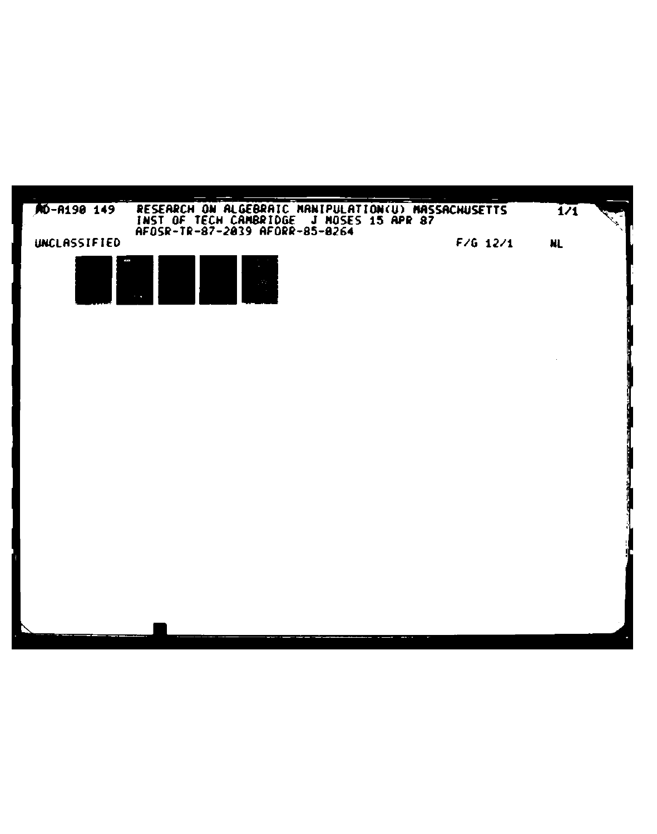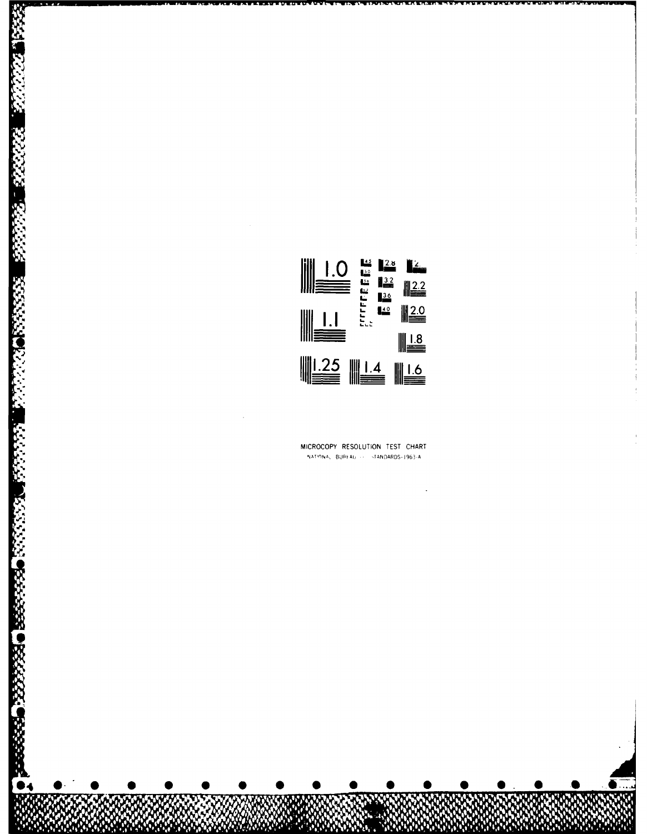

## MICROCOPY RESOLUTION TEST CHART NATIONAL BUREAU -- STANDARDS-1963-A

**PARKS BEERING THE PRESENTIAL SECTION OF A BEERING BEERING**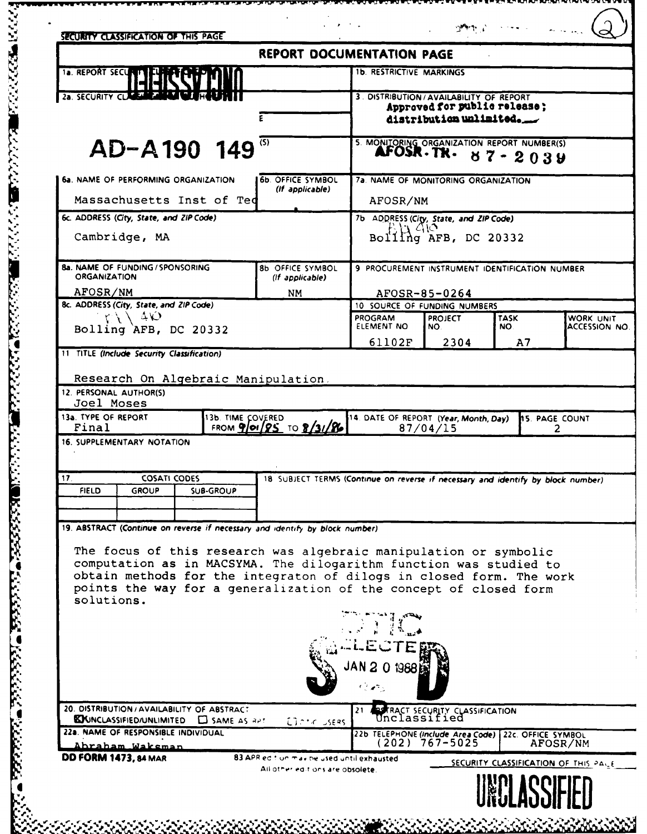| SECURITY CLASSIFICATION OF THIS PAGE                                                                                                                                                                                                                                                                                                                                                |                                                                                  |                                                                                              |                                                |             |                                      |
|-------------------------------------------------------------------------------------------------------------------------------------------------------------------------------------------------------------------------------------------------------------------------------------------------------------------------------------------------------------------------------------|----------------------------------------------------------------------------------|----------------------------------------------------------------------------------------------|------------------------------------------------|-------------|--------------------------------------|
|                                                                                                                                                                                                                                                                                                                                                                                     | <b>REPORT DOCUMENTATION PAGE</b>                                                 |                                                                                              |                                                |             |                                      |
| <b>1a. REPORT SECUR</b>                                                                                                                                                                                                                                                                                                                                                             |                                                                                  | <b>1b. RESTRICTIVE MARKINGS</b>                                                              |                                                |             |                                      |
| 2a. SECURITY CLASS                                                                                                                                                                                                                                                                                                                                                                  |                                                                                  | 3. DISTRIBUTION/AVAILABILITY OF REPORT                                                       |                                                |             |                                      |
|                                                                                                                                                                                                                                                                                                                                                                                     |                                                                                  | Approved for public release;<br>distribution unlimited.                                      |                                                |             |                                      |
|                                                                                                                                                                                                                                                                                                                                                                                     |                                                                                  |                                                                                              |                                                |             |                                      |
| AD-A190 149                                                                                                                                                                                                                                                                                                                                                                         | $\langle S \rangle$                                                              | 5. MONITORING ORGANIZATION REPORT NUMBER(S)<br>AFOSR.TR.                                     |                                                | $87 - 2039$ |                                      |
| 6a. NAME OF PERFORMING ORGANIZATION                                                                                                                                                                                                                                                                                                                                                 | 7a. NAME OF MONITORING ORGANIZATION                                              |                                                                                              |                                                |             |                                      |
| Massachusetts Inst of Ted                                                                                                                                                                                                                                                                                                                                                           | (If applicable)                                                                  | AFOSR/NM                                                                                     |                                                |             |                                      |
| 6c. ADDRESS (City, State, and ZIP Code)                                                                                                                                                                                                                                                                                                                                             |                                                                                  | 7b ADDRESS (City, State, and ZIP Code)<br>F.13 410                                           |                                                |             |                                      |
| Cambridge, MA                                                                                                                                                                                                                                                                                                                                                                       |                                                                                  |                                                                                              | Bolling AFB, DC 20332                          |             |                                      |
| 8a, NAME OF FUNDING / SPONSORING<br><b>ORGANIZATION</b>                                                                                                                                                                                                                                                                                                                             | <b>8b OFFICE SYMBOL</b><br>(If applicable)                                       |                                                                                              | 9 PROCUREMENT INSTRUMENT IDENTIFICATION NUMBER |             |                                      |
| AFOSR/NM<br>8c. ADDRESS (City, State, and ZIP Code)                                                                                                                                                                                                                                                                                                                                 | <b>NM</b>                                                                        |                                                                                              | AFOSR-85-0264                                  |             |                                      |
| $-40$                                                                                                                                                                                                                                                                                                                                                                               |                                                                                  | 10 SOURCE OF FUNDING NUMBERS<br><b>PROGRAM</b><br><b>PROJECT</b><br><b>TASK</b><br>WORK UNIT |                                                |             |                                      |
| Bolling AFB, DC 20332                                                                                                                                                                                                                                                                                                                                                               |                                                                                  | ELEMENT NO<br>61102F                                                                         | NO.<br>2304                                    | NO.         | ACCESSION NO.                        |
| 11 TITLE (Include Security Classification)                                                                                                                                                                                                                                                                                                                                          |                                                                                  |                                                                                              |                                                | A7          |                                      |
| 13a. TYPE OF REPORT<br>13b. TIME COVERED<br>Final<br>16. SUPPLEMENTARY NOTATION                                                                                                                                                                                                                                                                                                     | FROM $901/85$ TO $8/31/86$                                                       | 14. DATE OF REPORT (Year, Month, Day)                                                        | 87/04/15                                       |             | 15. PAGE COUNT<br>2                  |
| 17.<br><b>COSATI CODES</b>                                                                                                                                                                                                                                                                                                                                                          | 18 SUBJECT TERMS (Continue on reverse if necessary and identify by block number) |                                                                                              |                                                |             |                                      |
| <b>FIELD</b><br><b>GROUP</b><br><b>SUB-GROUP</b>                                                                                                                                                                                                                                                                                                                                    |                                                                                  |                                                                                              |                                                |             |                                      |
|                                                                                                                                                                                                                                                                                                                                                                                     |                                                                                  |                                                                                              |                                                |             |                                      |
| 19. ABSTRACT (Continue on reverse if necessary and identify by block number).<br>The focus of this research was algebraic manipulation or symbolic<br>computation as in MACSYMA. The dilogarithm function was studied to<br>obtain methods for the integraton of dilogs in closed form. The work<br>points the way for a generalization of the concept of closed form<br>solutions. |                                                                                  |                                                                                              |                                                |             |                                      |
|                                                                                                                                                                                                                                                                                                                                                                                     |                                                                                  |                                                                                              |                                                |             |                                      |
|                                                                                                                                                                                                                                                                                                                                                                                     |                                                                                  |                                                                                              |                                                |             |                                      |
|                                                                                                                                                                                                                                                                                                                                                                                     |                                                                                  |                                                                                              |                                                |             |                                      |
|                                                                                                                                                                                                                                                                                                                                                                                     |                                                                                  | 1988                                                                                         |                                                |             |                                      |
| 20. DISTRIBUTION / AVAILABILITY OF ABSTRACT<br><b>EXINCLASSIFIED/UNLIMITED C</b> SAME AS APT                                                                                                                                                                                                                                                                                        | Eleric Useas                                                                     | 21                                                                                           | <b>STRACT SECURITY CLASSIFICATION</b>          |             |                                      |
| 22a. NAME OF RESPONSIBLE INDIVIDUAL<br>Ahraham Wakeman                                                                                                                                                                                                                                                                                                                              |                                                                                  | 22b TELEPHONE (Include Area Code)                                                            | $(202)$ 767-5025                               |             | 22c. OFFICE SYMBOL<br>AFOSR/NM       |
| DD FORM 1473, 84 MAR                                                                                                                                                                                                                                                                                                                                                                | 83 APR ed tion may be used until exhausted                                       |                                                                                              |                                                |             | SECURITY CLASSIFICATION OF THIS PALE |
|                                                                                                                                                                                                                                                                                                                                                                                     | All other editions are obsolete.                                                 |                                                                                              |                                                |             |                                      |

a de la processione de la composición de la composición de la composición de la composición de la composición<br>El composición de la composición de la composición de la composición de la composición de la composición de la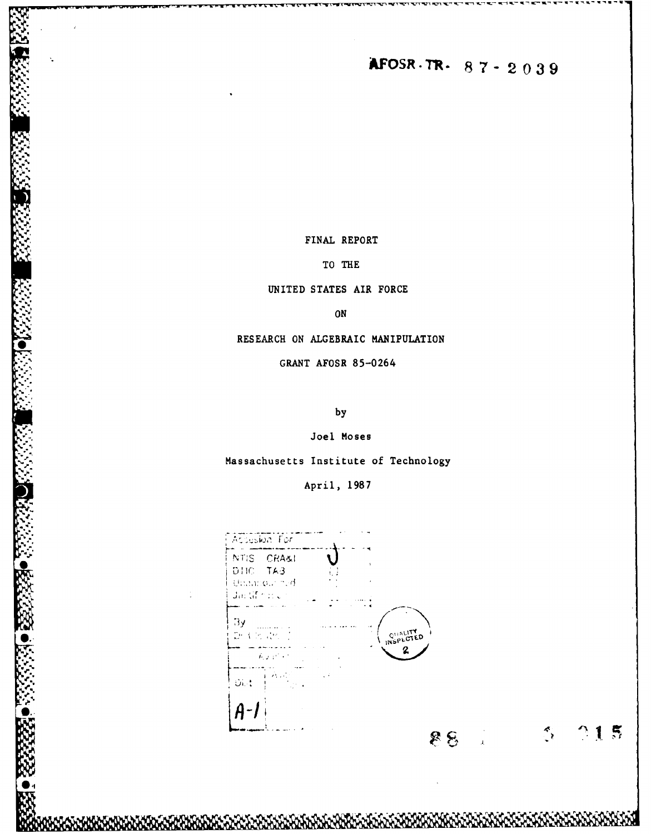AFOSR-TR-87-2039

FINAL REPORT

TO THE

UNITED STATES AIR FORCE

ON

RESEARCH ON ALGEBRAIC MANIPULATION

GRANT AFOSR 85-0264

by

Joel Moses

Massachusetts Institute of Technology

April, 1987

| NTIS CRASI<br>DHC TA3<br>Unancour ned<br>Jacht on C                                  | $\mathbf{A}$<br>¥ |
|--------------------------------------------------------------------------------------|-------------------|
| Эy<br>Drift Board of                                                                 | QUALITY           |
| $E_{\rm c}$ , $E_{\rm c}$ , $E_{\rm c}$<br>$\sim 10^{11}$ km $^{-1}$<br>$\zeta \neq$ |                   |
| $\mathbf{O}(\mathbb{R}^4)$<br>127.14                                                 |                   |
|                                                                                      |                   |

 $^{\circ}15$ 

 $\tilde{\mathcal{L}}$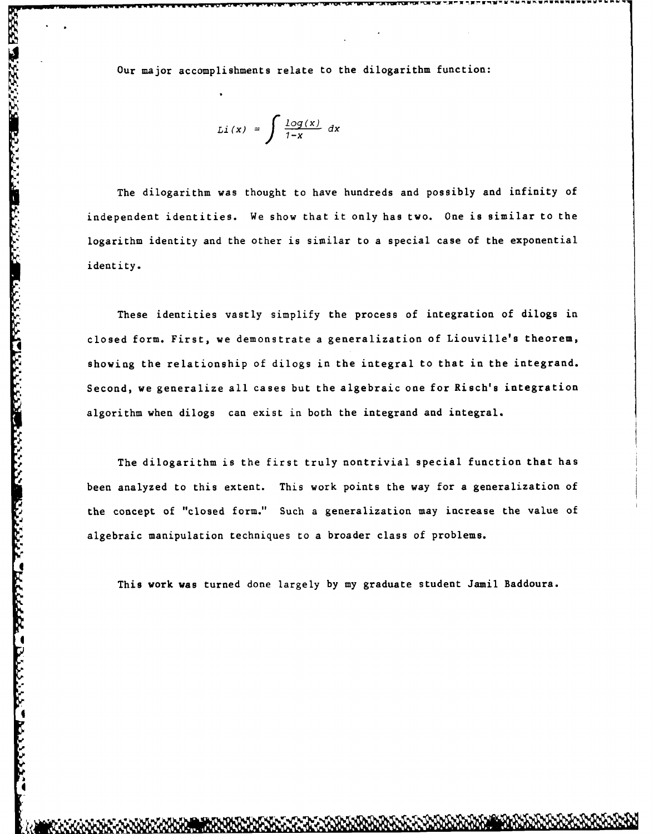Our major accomplishments relate to the dilogarithm function:

$$
Li(x) = \int \frac{log(x)}{1-x} dx
$$

The dilogarithm was thought to have hundreds and possibly and infinity of logarithm identity and the other is similar to a special case of the exponential identity.

For the diographic state is the diographic function:<br>  $LI(X) = \int \frac{\log f(x)}{1-x} dx$ <br>
The diographent vas thought to have hundreds and possibly and infinity of<br>
independent identities. We show that it only has two. One is similar These identities vastly simplify the process of integration of dilogs in closed form. First, we demonstrate a generalization of Liouville's theorem, showing the relationship of dilogs in the integral to that in the integrand. Second, we generalize all cases but the algebraic one for Risch's integration algorithm when dilogs can exist in both the integrand and integral.

The dilogarithm is the first truly nontrivial special function that has been analyzed to this extent. This work points the way for a generalization of the concept of "closed form." Such a generalization may increase the value of algebraic manipulation techniques to a broader class of problems.

This work was turned done largely by my graduate student Jamil Baddoura.

**I**

**Report Follow** 

.4 **I**